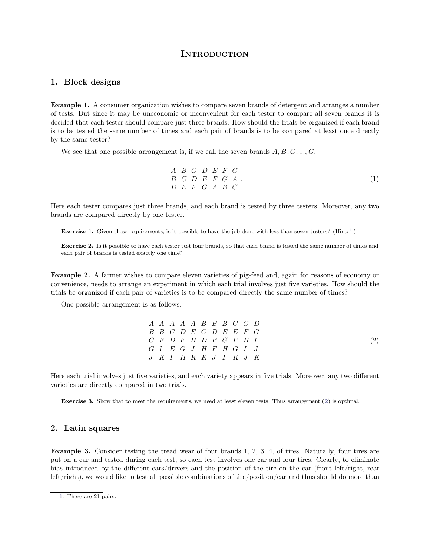## <span id="page-0-2"></span><span id="page-0-1"></span>**INTRODUCTION**

## **1. Block designs**

**1. Block designs**<br>**Example 1.** A consumer organization wishes to compare seven brands of detergent and arranges a number<br>of tests. But since it may be uneconomic or inconvenient for each tester to compare all seven brands **1. Block designs**<br>**Example 1.** A consumer organization wishes to compare seven brands of detergent and arranges a number<br>of tests. But since it may be uneconomic or inconvenient for each tester to compare all seven brands **1. Block designs**<br>**Example 1.** A consumer organization wishes to compare seven brands of detergent and arranges a number<br>of tests. But since it may be uneconomic or inconvenient for each tester to compare all seven brands **Example 1.** A consumer organization wishes to compare seven brands of detergent and arranges a number of tests. But since it may be uneconomic or inconvenient for each tester to compare all seven brands it is decided that **Example 1.** A consumer of tests. But since it may be decided that each tester show is to be tested the same nu by the same tester?<br>We see that one possible Next see that one possible arrangement is, if we call the seven brands *A*; *B; C; ..., G*.<br>
We see that one possible arrangement is, if we call the seven brands *A*, *B*, *C*, ..., *G*.<br>
We see that one possible arrangem

by the same tester?

\nWe see that one possible arrangement is, if we call the seven brands 
$$
A, B, C, \ldots, G
$$
.

\nA B C D E F G A .

\nB C D E F G A .

\nHere each tester compares just three brands, and each brand is tested by three testers. Moreover, any two brands are compared directly by one tester.

 $\begin{array}{c}\nA & B & C \\
B & C & D \\
D & E & F\n\end{array}$ <br>
Here each tester compares just three brands, and brands are compared directly by one tester. **Exercise 1.** Given these requirements, is it possible to have the job done with less than seven testers? (Hint:<sup>1</sup>)

**Exercise 1.** Given these requirements, is it possible to have the job done with less than seven testers? (Hint:<sup>1</sup>)<br>**Exercise 2.** Is it possible to have each tester test four brands, so that each brand is tested the same **Exercise 1.** Given these requirements, is it possible to **Exercise 2.** Is it possible to have each tester test four each pair of brands is tested exactly one time?

**Exercise 2.** Is it possible to have each tester test four brands, so that each brand is tested the same number of times and each pair of brands is tested exactly one time?<br>**Example 2.** A farmer wishes to compare eleven va **Exercise 2.** Is it possible to have each tester test four brands, so that each brand is tested the same number of times and each pair of brands is tested exactly one time?<br> **Example 2.** A farmer wishes to compare eleven v the pair of brands is tested exactly one time?<br> **Example 2.** A farmer wishes to compare eleven varieties of pig-feed and, again for reasons of economy<br>
convenience, needs to arrange an experiment in which each trial involv **ample 2.** A farmer wishes to compare elevenience, needs to arrange an experiment in ls be organized if each pair of varieties is to One possible arrangement is as follows.

| One possible arrangement is as follows. |  |  |                                                                                     |  |  |                          |                   |
|-----------------------------------------|--|--|-------------------------------------------------------------------------------------|--|--|--------------------------|-------------------|
|                                         |  |  | $A \quad A \quad A \quad A \quad A \quad B \quad B \quad B \quad C \quad C \quad D$ |  |  |                          |                   |
|                                         |  |  | $B$ $B$ $C$ $D$ $E$ $C$ $D$ $E$ $E$ $F$ $G$                                         |  |  |                          |                   |
|                                         |  |  |                                                                                     |  |  | $C$ F D F H D E G F H I. | $\left( 2\right)$ |
|                                         |  |  | $G I E G J H F H G I J$                                                             |  |  |                          |                   |
|                                         |  |  | $J$ K I H K K J I K $J$ K                                                           |  |  |                          |                   |

 $\begin{array}{cccc}\n & G & I & E & G & J \\
G & I & E & G & J \\
J & K & I & H & K\n\end{array}$ <br>Here each trial involves just five varieties, and eac varieties are directly compared in two trials. Exercise **3.** Show that to meet the requirements, we need at least eleven tests. Thus arrangement [\(2\)](#page-0-0) is optimal.<br>**Exercise 3.** Show that to meet the requirements, we need at least eleven tests. Thus arrangement (2) is opt Exercise 3. Show that to meet<br> **2.** Latin squares

<span id="page-0-0"></span>

**2. Latin squares**<br>**Example 3.** Consider testing the tread wear of four brands 1, 2, 3, 4, of tires. Naturally, four tires are<br>put on a car and tested during each test, so each test involves one car and four tires. Clearly **2. Latin squares**<br>**Example 3.** Consider testing the tread wear of four brands 1, 2, 3, 4, of tires. Naturally, four tires are<br>put on a car and tested during each test, so each test involves one car and four tires. Clearly **2. Latin squares**<br>**Example 3.** Consider testing the tread wear of four brands 1, 2, 3, 4, of tires. Naturally, four tires are<br>put on a car and tested during each test, so each test involves one car and four tires. Clearl **Example 3.** Consider testing the tread wear of four brands 1, 2, 3, 4, of tires. Naturally, four tires are put on a car and tested during each test, so each test involves one car and four tires. Clearly, to eliminate bia bias introduced by the different cars/drivers and the position of the tire on the car (front left/right, rear left/right), we would like to test all possible combinations of tire/position/car and thus should do more than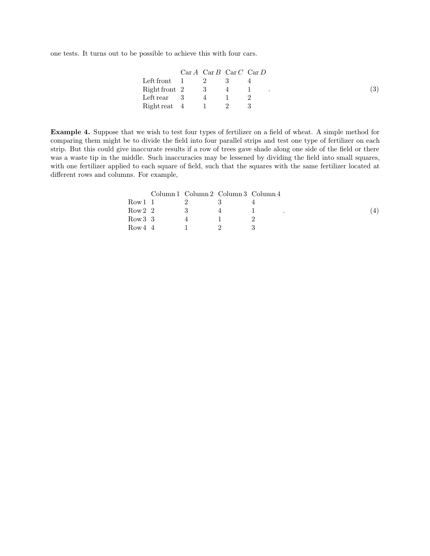one tests. It turns out to be possible to achieve this with four cars.

|                                                           |  | ossible to achieve this with four cars.                 |    |
|-----------------------------------------------------------|--|---------------------------------------------------------|----|
|                                                           |  |                                                         |    |
|                                                           |  | $Car A \ \text{Car } B \ \text{Car } C \ \text{Car } D$ |    |
| Left front $1 \t 2$                                       |  | 3                                                       | 4  |
| $Right$ front 2 3 4                                       |  |                                                         | -1 |
| Left rear $\begin{array}{cccc} 3 & 4 & 1 & 2 \end{array}$ |  |                                                         |    |
| $Right$ reat 4 1                                          |  | $\overline{2}$                                          | 3  |

**Example 4.** Suppose that we wish to test four types of fertilizer on a field of wheat. A simple method for comparing them might be to divide the field into four parallel strips and test one type of fertilizer on each Example 4. Suppose that we wish to test four types of fertilizer on a field of wheat. A simple method for comparing them might be to divide the field into four parallel strips and test one type of fertilizer on each strip. Example 4. Suppose that we wish to test four types of fertilizer on a field of wheat. A simple method for comparing them might be to divide the field into four parallel strips and test one type of fertilizer on each strip. **Example 4.** Suppose that we wish to test four types of fertilizer on a field of wheat. A simple method for comparing them might be to divide the field into four parallel strips and test one type of fertilizer on each stri **Example 4.** Suppose that we wish to test four types of fertilizer on a field of wheat. A simple method for comparing them might be to divide the field into four parallel strips and test one type of fertilizer on each stri comparing them might be to divide the field into four parallel strips and test one type of fertilizer on each strip. But this could give inaccurate results if a row of trees gave shade along one side of the field or there with one fertilizer applied to each square of field, such that the squares with the same fertilizer located at

|         | ns. For example, |                                     |               |           |     |
|---------|------------------|-------------------------------------|---------------|-----------|-----|
|         |                  | Column 1 Column 2 Column 3 Column 4 |               |           |     |
| Row 1 1 |                  | 2                                   | 3             |           |     |
| Row 2 2 |                  | 3                                   | 4             | $\bullet$ | -41 |
| Row 3 3 |                  | 4                                   |               | 2         |     |
| Row 4 4 |                  |                                     | $\mathcal{D}$ | 3         |     |
|         |                  |                                     |               |           |     |
|         |                  |                                     |               |           |     |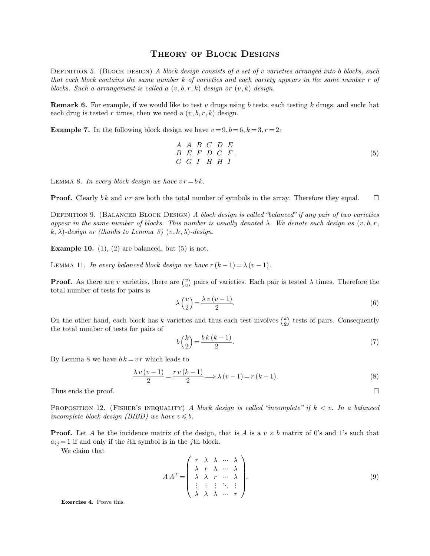THEORY OF BLOCK DESIGNS<br>
(a) A block design consists of a set of v varieties arrangently **THEORY OF BLOCK DESIGNS**<br>DEFINITION 5. (BLOCK DESIGN) *A block design consists of a set of v varieties arranged into b blocks, such*<br>that each block contains the same number k of varieties and each variety appears in **the CH CORY CONDESIGNS**<br>*that each block contains the same number k of varieties and each variety appears in the same number r of***<br>***blocks. Such a arrangement is called a* $(v, b, r, k)$ *design or* $(v, k)$ *design. block DESIGNS*<br>*blocks. (BLOCK DESIGN) A block design consists of a set of v varietie*<br>*that each block contains the same number k of varieties and each variety appel<br>blocks. Such a arrangement is called a*  $(v, b, r, k)$  *d* DEFINITION 5. (BLOCK DESIGN) A block design consists of a set of *v* varieties arranged into *b* blocks, such that each block contains the same number *k* of varieties and each variety appears in the same number *r* of bl that each block contains the same number  $k$  of varieties and each variety appears in the same number  $r$  of blocks. Such a arrangement is called a  $(v, b, r, k)$  design or  $(v, k)$  design.<br>**Remark 6.** For example, if we would

**Example 7.** In the following block design we have  $v = 9, b = 6, k = 3, r = 2$ :<br> **Example** 7. In the following block design we have  $v = 9, b = 6, k = 3, r = 2$ :<br> *A A B C D E*<br> *E E F D C F*.

each drug is tested 
$$
r
$$
 times, then we need a  $(v, b, r, k)$  design.

\n**Example 7.** In the following block design we have  $v = 9, b = 6, k = 3, r = 2$ :

\n

| $A$ | $A$ | $B$ | $C$ | $D$ | $E$ |
|-----|-----|-----|-----|-----|-----|
| $B$ | $E$ | $F$ | $D$ | $C$ | $F$ |

\nLEMMA 8. In every block design we have  $vr = bk$ .

\n**Proof.** Clearly  $bk$  and  $vr$  are both the total number of symbols in the array. Therefore they equal.

\n $\Box$ 

\n**DEFINITION 9** (But ANCFD BLOCK DESION) A block design is called "balanced" if any pair of two varieties.

<span id="page-2-0"></span>

LEMMA 8. *In every block design we have*  $vr = b k$ .<br> **Proof.** Clearly  $bk$  and  $vr$  are both the total number of symbols in the array. Therefore they equal.  $\Box$ <br>
DEFINITION 9. (BALANCED BLOCK DESIGN) *A block design is called* **Proof.**Clearly bk and vr are both the total number of symbols in the array. Therefore they equal.  $\Box$ <br>**Proof.** Clearly bk and vr are both the total number of symbols in the array. Therefore they equal.  $\Box$ <br>**DEFINITION Proof.** Clearly bk and vr are both the total number of symbols in the array. Therefore they equal.  $\Box$ <br>
DEFINITION 9. (BALANCED BLOCK DESIGN) A block design is called "balanced" if any pair of two varieties<br>
appear in t DEFINITION9. (BALANCED BLOCK DESIGN) A block deappear in the same number of blocks. This number is ust  $k, \lambda$ )-design or (thanks to Lemma 8)  $(v, k, \lambda)$ -design.<br>**Example 10.** [\(1\)](#page-0-2), [\(2\)](#page-0-0) are balanced, but [\(5\)](#page-2-1) is not.

<span id="page-2-2"></span>

appear in the same number of blocks. This number is usually denoted  $\lambda$ . We dencently,  $k, \lambda$ )-design or (thanks to Lemma 8)  $(v, k, \lambda)$ -design.<br> **Example 10.** (1), (2) are balanced, but (5) is not.<br> **LEMMA 11.** In every b  $v \rightarrow \text{naire}$ 2 pairs of varieties. Each pair is tested  $\lambda$  times. Therefore the **Example 10.** (1), (2) are balanced, but<br>LEMMA 11. In every balanced block desi<br>**Proof.** As there are v varieties, there as<br>total number of tests for pairs is **Proof.** As there are *v* varieties, there are  $\binom{v}{2}$  pairs of varieties. Each pair is tested  $\lambda$  times. Therefore the total number of tests for pairs is  $\lambda \binom{v}{2} = \frac{\lambda v (v-1)}{2}$ . (6)<br>On the other hand, each block

<span id="page-2-1"></span>*gn we have* 
$$
r(k-1) = \lambda (v-1)
$$
.  
\n*re*  $\binom{v}{2}$  pairs of varieties. Each pair is tested  $\lambda$  times. Therefore the  $\lambda \binom{v}{2} = \frac{\lambda v (v-1)}{2}$ . (6)

 $\binom{k}{2}$  tests of total number of tests for pairs is<br>  $\lambda \begin{pmatrix} 0 & 0 \\ 0 & 0 \end{pmatrix}$ <br>
On the other hand, each block has k varietic the total number of tests for pairs of Onthe other hand, each block has *k* varieties and the total number of tests for pairs of<br>  $b\left(\frac{k}{2}\right) = \frac{bk}{2}$ .<br>
By Lemma 8 we have  $bk = vr$  which leads to<br>  $\lambda v(v-1) = rv(k-1)$ .

$$
\lambda \binom{v}{2} = \frac{\lambda v (v - 1)}{2}.
$$
\n(6)

\niteties and thus each test involves  $\binom{k}{2}$  tests of pairs. Consequently

\n
$$
b \binom{k}{2} = \frac{bk (k - 1)}{2}.
$$
\n(7)

$$
b\binom{k}{2} = \frac{bk(k-1)}{2}.
$$
 (7)  
By Lemma 8 we have  $bk = vr$  which leads to  

$$
\frac{\lambda v(v-1)}{2} = \frac{rv(k-1)}{2} \Longrightarrow \lambda(v-1) = r(k-1).
$$
 (8)  
Thus ends the proof.

Thus ends the proof.<br>
Thus ends the proof.  $\Box$ <br>
PROPOSITION 12. (FISHER'S INEQUALITY) *A block design is called "incomplete" if*  $k < v$ . In a balanced incomplete block design (BIBD) we have  $v \leq b$ . **i**  $\frac{\lambda v(v-1)}{2} = \frac{v(v-1)}{2} \implies \lambda (v-1) = r(k-1).$  (8)<br> **PROPOSITION 12.** (FISHER'S INEQUALITY) *A* block design is called "incomplete" if  $k < v$ . In a balanced incomplete block design (BIBD) we have  $v \leq b$ .<br> **Proof.** Let *A* **PROPOSITION 12.** (FISHER'S INEQUALITY) A block design incomplete block design (BIBD) we have  $v \leq b$ .<br>**Proof.** Let A be the incidence matrix of the design, that  $a_{ij} = 1$  if and only if the *i*th symbol is in the *j*th b

OPOSITION 12. (FISI
omplete block design
of. Let A be the in  $= 1$  if and only if the
We claim that

trix of the design, that is 
$$
A
$$
 is a  $v \times b$  matrix of 0's and 1's such that  
\nis in the *j*th block.  
\n
$$
A A^T = \begin{pmatrix} r & \lambda & \lambda & \cdots & \lambda \\ \lambda & r & \lambda & \cdots & \lambda \\ \lambda & \lambda & r & \cdots & \lambda \\ \vdots & \vdots & \vdots & \ddots & \vdots \\ \lambda & \lambda & \lambda & \cdots & r \end{pmatrix}.
$$
\n(9)

**Exercise 4.** Prove this.